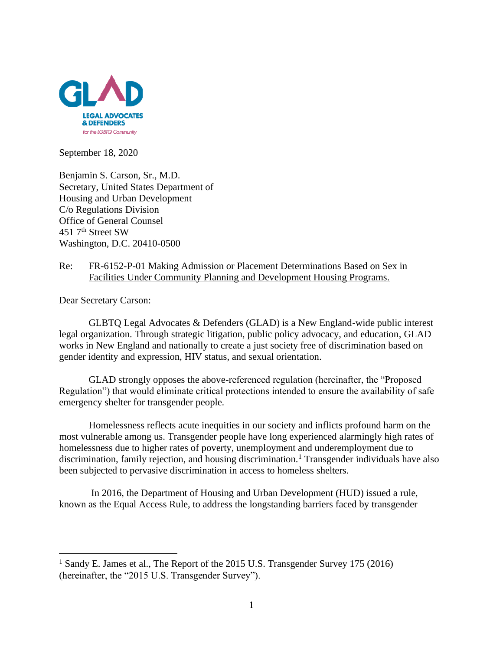

September 18, 2020

Benjamin S. Carson, Sr., M.D. Secretary, United States Department of Housing and Urban Development C/o Regulations Division Office of General Counsel 451 7th Street SW Washington, D.C. 20410-0500

## Re: FR-6152-P-01 Making Admission or Placement Determinations Based on Sex in Facilities Under Community Planning and Development Housing Programs.

Dear Secretary Carson:

GLBTQ Legal Advocates & Defenders (GLAD) is a New England-wide public interest legal organization. Through strategic litigation, public policy advocacy, and education, GLAD works in New England and nationally to create a just society free of discrimination based on gender identity and expression, HIV status, and sexual orientation.

GLAD strongly opposes the above-referenced regulation (hereinafter, the "Proposed Regulation") that would eliminate critical protections intended to ensure the availability of safe emergency shelter for transgender people.

Homelessness reflects acute inequities in our society and inflicts profound harm on the most vulnerable among us. Transgender people have long experienced alarmingly high rates of homelessness due to higher rates of poverty, unemployment and underemployment due to discrimination, family rejection, and housing discrimination.<sup>1</sup> Transgender individuals have also been subjected to pervasive discrimination in access to homeless shelters.

In 2016, the Department of Housing and Urban Development (HUD) issued a rule, known as the Equal Access Rule, to address the longstanding barriers faced by transgender

<sup>&</sup>lt;sup>1</sup> Sandy E. James et al., The Report of the 2015 U.S. Transgender Survey 175 (2016) (hereinafter, the "2015 U.S. Transgender Survey").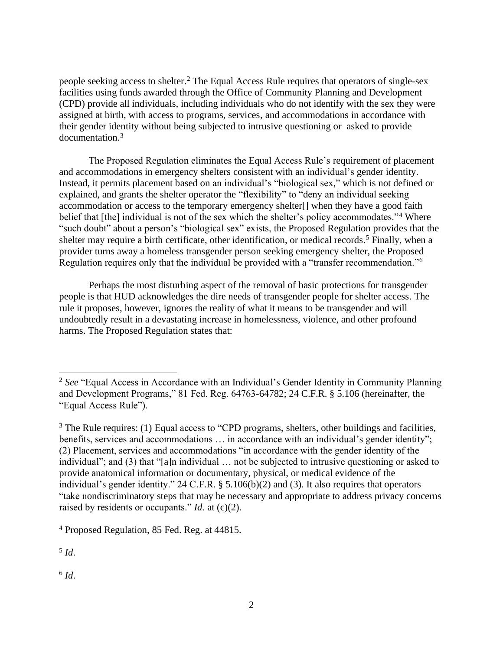people seeking access to shelter. <sup>2</sup> The Equal Access Rule requires that operators of single-sex facilities using funds awarded through the Office of Community Planning and Development (CPD) provide all individuals, including individuals who do not identify with the sex they were assigned at birth, with access to programs, services, and accommodations in accordance with their gender identity without being subjected to intrusive questioning or asked to provide documentation. 3

The Proposed Regulation eliminates the Equal Access Rule's requirement of placement and accommodations in emergency shelters consistent with an individual's gender identity. Instead, it permits placement based on an individual's "biological sex," which is not defined or explained, and grants the shelter operator the "flexibility" to "deny an individual seeking accommodation or access to the temporary emergency shelter[] when they have a good faith belief that [the] individual is not of the sex which the shelter's policy accommodates."<sup>4</sup> Where "such doubt" about a person's "biological sex" exists, the Proposed Regulation provides that the shelter may require a birth certificate, other identification, or medical records.<sup>5</sup> Finally, when a provider turns away a homeless transgender person seeking emergency shelter, the Proposed Regulation requires only that the individual be provided with a "transfer recommendation."<sup>6</sup>

Perhaps the most disturbing aspect of the removal of basic protections for transgender people is that HUD acknowledges the dire needs of transgender people for shelter access. The rule it proposes, however, ignores the reality of what it means to be transgender and will undoubtedly result in a devastating increase in homelessness, violence, and other profound harms. The Proposed Regulation states that:

5 *Id*.

6 *Id*.

<sup>2</sup> *See* "Equal Access in Accordance with an Individual's Gender Identity in Community Planning and Development Programs," 81 Fed. Reg. 64763-64782; 24 C.F.R. § 5.106 (hereinafter, the "Equal Access Rule").

<sup>&</sup>lt;sup>3</sup> The Rule requires: (1) Equal access to "CPD programs, shelters, other buildings and facilities, benefits, services and accommodations … in accordance with an individual's gender identity"; (2) Placement, services and accommodations "in accordance with the gender identity of the individual"; and (3) that "[a]n individual … not be subjected to intrusive questioning or asked to provide anatomical information or documentary, physical, or medical evidence of the individual's gender identity." 24 C.F.R. § 5.106(b)(2) and (3). It also requires that operators "take nondiscriminatory steps that may be necessary and appropriate to address privacy concerns raised by residents or occupants." *Id.* at  $(c)(2)$ .

<sup>4</sup> Proposed Regulation, 85 Fed. Reg. at 44815.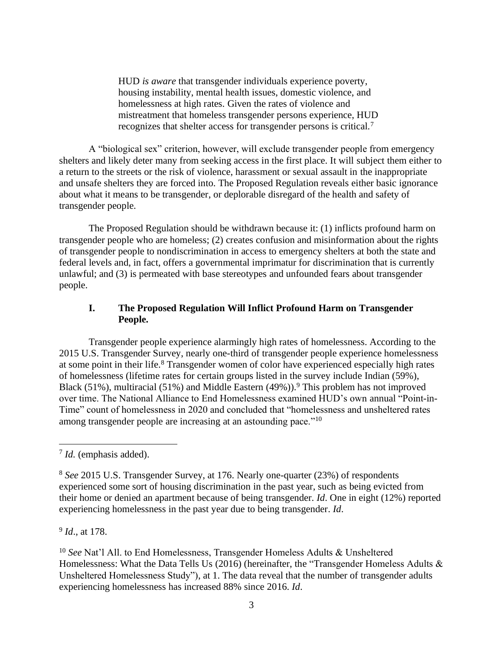HUD *is aware* that transgender individuals experience poverty, housing instability, mental health issues, domestic violence, and homelessness at high rates. Given the rates of violence and mistreatment that homeless transgender persons experience, HUD recognizes that shelter access for transgender persons is critical.<sup>7</sup>

A "biological sex" criterion, however, will exclude transgender people from emergency shelters and likely deter many from seeking access in the first place. It will subject them either to a return to the streets or the risk of violence, harassment or sexual assault in the inappropriate and unsafe shelters they are forced into. The Proposed Regulation reveals either basic ignorance about what it means to be transgender, or deplorable disregard of the health and safety of transgender people.

The Proposed Regulation should be withdrawn because it: (1) inflicts profound harm on transgender people who are homeless; (2) creates confusion and misinformation about the rights of transgender people to nondiscrimination in access to emergency shelters at both the state and federal levels and, in fact, offers a governmental imprimatur for discrimination that is currently unlawful; and (3) is permeated with base stereotypes and unfounded fears about transgender people.

## **I. The Proposed Regulation Will Inflict Profound Harm on Transgender People.**

Transgender people experience alarmingly high rates of homelessness. According to the 2015 U.S. Transgender Survey, nearly one-third of transgender people experience homelessness at some point in their life.<sup>8</sup> Transgender women of color have experienced especially high rates of homelessness (lifetime rates for certain groups listed in the survey include Indian (59%), Black (51%), multiracial (51%) and Middle Eastern (49%)).<sup>9</sup> This problem has not improved over time. The National Alliance to End Homelessness examined HUD's own annual "Point-in-Time" count of homelessness in 2020 and concluded that "homelessness and unsheltered rates among transgender people are increasing at an astounding pace."<sup>10</sup>

9 *Id*., at 178.

<sup>7</sup> *Id.* (emphasis added).

<sup>8</sup> *See* 2015 U.S. Transgender Survey, at 176. Nearly one-quarter (23%) of respondents experienced some sort of housing discrimination in the past year, such as being evicted from their home or denied an apartment because of being transgender. *Id*. One in eight (12%) reported experiencing homelessness in the past year due to being transgender. *Id*.

<sup>10</sup> *See* Nat'l All. to End Homelessness, Transgender Homeless Adults & Unsheltered Homelessness: What the Data Tells Us (2016) (hereinafter, the "Transgender Homeless Adults & Unsheltered Homelessness Study"), at 1. The data reveal that the number of transgender adults experiencing homelessness has increased 88% since 2016. *Id*.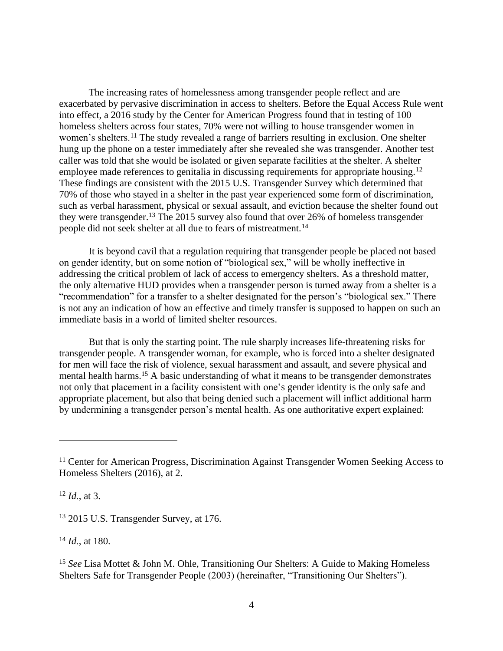The increasing rates of homelessness among transgender people reflect and are exacerbated by pervasive discrimination in access to shelters. Before the Equal Access Rule went into effect, a 2016 study by the Center for American Progress found that in testing of 100 homeless shelters across four states, 70% were not willing to house transgender women in women's shelters.<sup>11</sup> The study revealed a range of barriers resulting in exclusion. One shelter hung up the phone on a tester immediately after she revealed she was transgender. Another test caller was told that she would be isolated or given separate facilities at the shelter. A shelter employee made references to genitalia in discussing requirements for appropriate housing.<sup>12</sup> These findings are consistent with the 2015 U.S. Transgender Survey which determined that 70% of those who stayed in a shelter in the past year experienced some form of discrimination, such as verbal harassment, physical or sexual assault, and eviction because the shelter found out they were transgender.<sup>13</sup> The 2015 survey also found that over 26% of homeless transgender people did not seek shelter at all due to fears of mistreatment.<sup>14</sup>

It is beyond cavil that a regulation requiring that transgender people be placed not based on gender identity, but on some notion of "biological sex," will be wholly ineffective in addressing the critical problem of lack of access to emergency shelters. As a threshold matter, the only alternative HUD provides when a transgender person is turned away from a shelter is a "recommendation" for a transfer to a shelter designated for the person's "biological sex." There is not any an indication of how an effective and timely transfer is supposed to happen on such an immediate basis in a world of limited shelter resources.

But that is only the starting point. The rule sharply increases life-threatening risks for transgender people. A transgender woman, for example, who is forced into a shelter designated for men will face the risk of violence, sexual harassment and assault, and severe physical and mental health harms.<sup>15</sup> A basic understanding of what it means to be transgender demonstrates not only that placement in a facility consistent with one's gender identity is the only safe and appropriate placement, but also that being denied such a placement will inflict additional harm by undermining a transgender person's mental health. As one authoritative expert explained:

<sup>12</sup> *Id.*, at 3.

<sup>13</sup> 2015 U.S. Transgender Survey, at 176.

<sup>14</sup> *Id.*, at 180.

<sup>15</sup> *See* Lisa Mottet & John M. Ohle, Transitioning Our Shelters: A Guide to Making Homeless Shelters Safe for Transgender People (2003) (hereinafter, "Transitioning Our Shelters").

<sup>&</sup>lt;sup>11</sup> Center for American Progress, Discrimination Against Transgender Women Seeking Access to Homeless Shelters (2016), at 2.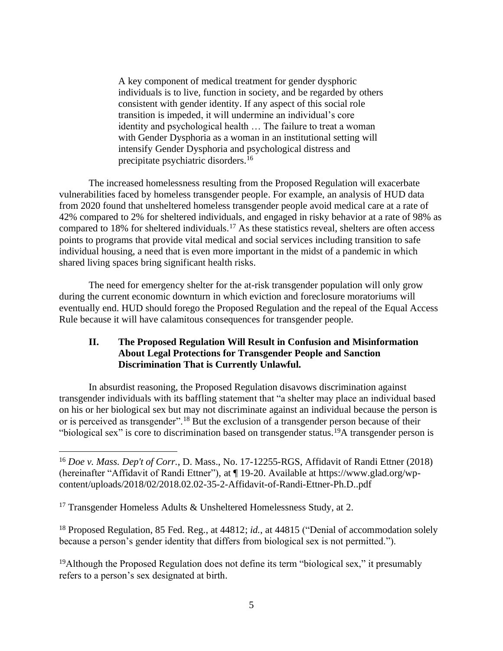A key component of medical treatment for gender dysphoric individuals is to live, function in society, and be regarded by others consistent with gender identity. If any aspect of this social role transition is impeded, it will undermine an individual's core identity and psychological health … The failure to treat a woman with Gender Dysphoria as a woman in an institutional setting will intensify Gender Dysphoria and psychological distress and precipitate psychiatric disorders.<sup>16</sup>

The increased homelessness resulting from the Proposed Regulation will exacerbate vulnerabilities faced by homeless transgender people. For example, an analysis of HUD data from 2020 found that unsheltered homeless transgender people avoid medical care at a rate of 42% compared to 2% for sheltered individuals, and engaged in risky behavior at a rate of 98% as compared to 18% for sheltered individuals.<sup>17</sup> As these statistics reveal, shelters are often access points to programs that provide vital medical and social services including transition to safe individual housing, a need that is even more important in the midst of a pandemic in which shared living spaces bring significant health risks.

The need for emergency shelter for the at-risk transgender population will only grow during the current economic downturn in which eviction and foreclosure moratoriums will eventually end. HUD should forego the Proposed Regulation and the repeal of the Equal Access Rule because it will have calamitous consequences for transgender people.

## **II. The Proposed Regulation Will Result in Confusion and Misinformation About Legal Protections for Transgender People and Sanction Discrimination That is Currently Unlawful.**

In absurdist reasoning, the Proposed Regulation disavows discrimination against transgender individuals with its baffling statement that "a shelter may place an individual based on his or her biological sex but may not discriminate against an individual because the person is or is perceived as transgender".<sup>18</sup> But the exclusion of a transgender person because of their "biological sex" is core to discrimination based on transgender status.<sup>19</sup>A transgender person is

<sup>18</sup> Proposed Regulation, 85 Fed. Reg., at 44812; *id.*, at 44815 ("Denial of accommodation solely because a person's gender identity that differs from biological sex is not permitted.").

<sup>19</sup>Although the Proposed Regulation does not define its term "biological sex," it presumably refers to a person's sex designated at birth.

<sup>16</sup> *Doe v. Mass. Dep't of Corr.*, D. Mass., No. 17-12255-RGS, Affidavit of Randi Ettner (2018) (hereinafter "Affidavit of Randi Ettner"), at ¶ 19-20. Available at https://www.glad.org/wpcontent/uploads/2018/02/2018.02.02-35-2-Affidavit-of-Randi-Ettner-Ph.D..pdf

<sup>&</sup>lt;sup>17</sup> Transgender Homeless Adults  $&$  Unsheltered Homelessness Study, at 2.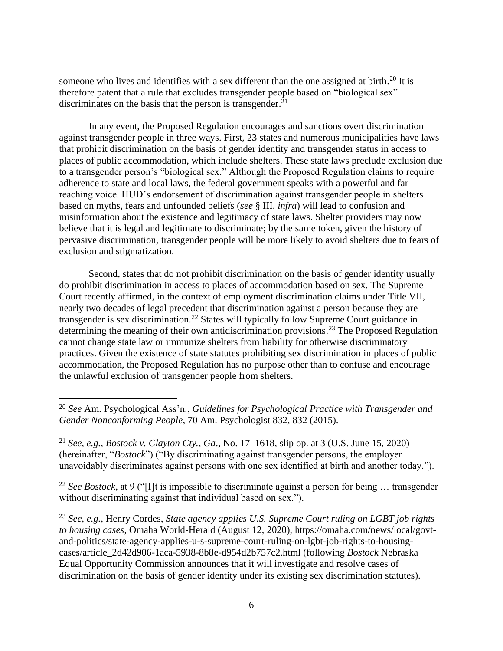someone who lives and identifies with a sex different than the one assigned at birth.<sup>20</sup> It is therefore patent that a rule that excludes transgender people based on "biological sex" discriminates on the basis that the person is transgender.<sup>21</sup>

In any event, the Proposed Regulation encourages and sanctions overt discrimination against transgender people in three ways. First, 23 states and numerous municipalities have laws that prohibit discrimination on the basis of gender identity and transgender status in access to places of public accommodation, which include shelters. These state laws preclude exclusion due to a transgender person's "biological sex." Although the Proposed Regulation claims to require adherence to state and local laws, the federal government speaks with a powerful and far reaching voice. HUD's endorsement of discrimination against transgender people in shelters based on myths, fears and unfounded beliefs (*see* § III, *infra*) will lead to confusion and misinformation about the existence and legitimacy of state laws. Shelter providers may now believe that it is legal and legitimate to discriminate; by the same token, given the history of pervasive discrimination, transgender people will be more likely to avoid shelters due to fears of exclusion and stigmatization.

Second, states that do not prohibit discrimination on the basis of gender identity usually do prohibit discrimination in access to places of accommodation based on sex. The Supreme Court recently affirmed, in the context of employment discrimination claims under Title VII, nearly two decades of legal precedent that discrimination against a person because they are transgender is sex discrimination.<sup>22</sup> States will typically follow Supreme Court guidance in determining the meaning of their own antidiscrimination provisions.<sup>23</sup> The Proposed Regulation cannot change state law or immunize shelters from liability for otherwise discriminatory practices. Given the existence of state statutes prohibiting sex discrimination in places of public accommodation, the Proposed Regulation has no purpose other than to confuse and encourage the unlawful exclusion of transgender people from shelters.

<sup>22</sup> *See Bostock*, at 9 ("[I]t is impossible to discriminate against a person for being … transgender without discriminating against that individual based on sex.").

<sup>23</sup> *See, e.g.,* Henry Cordes, *State agency applies U.S. Supreme Court ruling on LGBT job rights to housing cases*, Omaha World-Herald (August 12, 2020), https://omaha.com/news/local/govtand-politics/state-agency-applies-u-s-supreme-court-ruling-on-lgbt-job-rights-to-housingcases/article\_2d42d906-1aca-5938-8b8e-d954d2b757c2.html (following *Bostock* Nebraska Equal Opportunity Commission announces that it will investigate and resolve cases of discrimination on the basis of gender identity under its existing sex discrimination statutes).

<sup>20</sup> *See* Am. Psychological Ass'n., *Guidelines for Psychological Practice with Transgender and Gender Nonconforming People*, 70 Am. Psychologist 832, 832 (2015).

<sup>21</sup> *See, e.g., Bostock v. Clayton Cty.*, *Ga*., No. 17–1618, slip op. at 3 (U.S. June 15, 2020) (hereinafter, "*Bostock*") ("By discriminating against transgender persons, the employer unavoidably discriminates against persons with one sex identified at birth and another today.").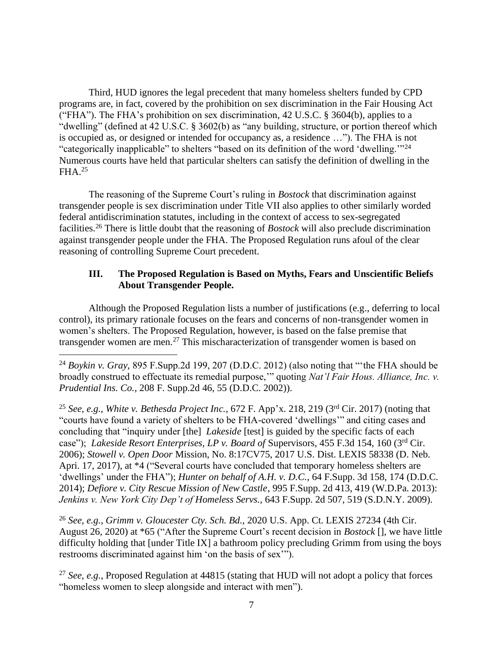Third, HUD ignores the legal precedent that many homeless shelters funded by CPD programs are, in fact, covered by the prohibition on sex discrimination in the Fair Housing Act ("FHA"). The FHA's prohibition on sex discrimination, 42 U.S.C. § 3604(b), applies to a "dwelling" (defined at 42 U.S.C. § 3602(b) as "any building, structure, or portion thereof which is occupied as, or designed or intended for occupancy as, a residence …"). The FHA is not "categorically inapplicable" to shelters "based on its definition of the word 'dwelling.'"<sup>24</sup> Numerous courts have held that particular shelters can satisfy the definition of dwelling in the  $FHA.<sup>25</sup>$ 

The reasoning of the Supreme Court's ruling in *Bostock* that discrimination against transgender people is sex discrimination under Title VII also applies to other similarly worded federal antidiscrimination statutes, including in the context of access to sex-segregated facilities.<sup>26</sup> There is little doubt that the reasoning of *Bostock* will also preclude discrimination against transgender people under the FHA. The Proposed Regulation runs afoul of the clear reasoning of controlling Supreme Court precedent.

## **III. The Proposed Regulation is Based on Myths, Fears and Unscientific Beliefs About Transgender People.**

Although the Proposed Regulation lists a number of justifications (e.g., deferring to local control), its primary rationale focuses on the fears and concerns of non-transgender women in women's shelters. The Proposed Regulation, however, is based on the false premise that transgender women are men.<sup>27</sup> This mischaracterization of transgender women is based on

<sup>25</sup> *See, e.g., White v. Bethesda Project Inc.*, 672 F. App'x. 218, 219 (3rd Cir. 2017) (noting that "courts have found a variety of shelters to be FHA-covered 'dwellings'" and citing cases and concluding that "inquiry under [the] *Lakeside* [test] is guided by the specific facts of each case"); *Lakeside Resort Enterprises, LP v. Board of* Supervisors, 455 F.3d 154, 160 (3rd Cir. 2006); *Stowell v. Open Door* Mission, No. 8:17CV75, 2017 U.S. Dist. LEXIS 58338 (D. Neb. Apri. 17, 2017), at \*4 ("Several courts have concluded that temporary homeless shelters are 'dwellings' under the FHA"); *Hunter on behalf of A.H. v. D.C.*, 64 F.Supp. 3d 158, 174 (D.D.C. 2014); *Defiore v. City Rescue Mission of New Castle*, 995 F.Supp. 2d 413, 419 (W.D.Pa. 2013): *Jenkins v. New York City Dep't of Homeless Servs.*, 643 F.Supp. 2d 507, 519 (S.D.N.Y. 2009).

<sup>26</sup> *See, e.g.*, *Grimm v. Gloucester Cty. Sch. Bd.*, 2020 U.S. App. Ct. LEXIS 27234 (4th Cir. August 26, 2020) at \*65 ("After the Supreme Court's recent decision in *Bostock* [], we have little difficulty holding that [under Title IX] a bathroom policy precluding Grimm from using the boys restrooms discriminated against him 'on the basis of sex'").

<sup>27</sup> *See, e.g.*, Proposed Regulation at 44815 (stating that HUD will not adopt a policy that forces "homeless women to sleep alongside and interact with men").

<sup>24</sup> *Boykin v. Gray,* 895 F.Supp.2d 199, 207 (D.D.C. 2012) (also noting that "'the FHA should be broadly construed to effectuate its remedial purpose,'" quoting *Nat'l Fair Hous. Alliance, Inc. v. Prudential Ins. Co.*, 208 F. Supp.2d 46, 55 (D.D.C. 2002)).